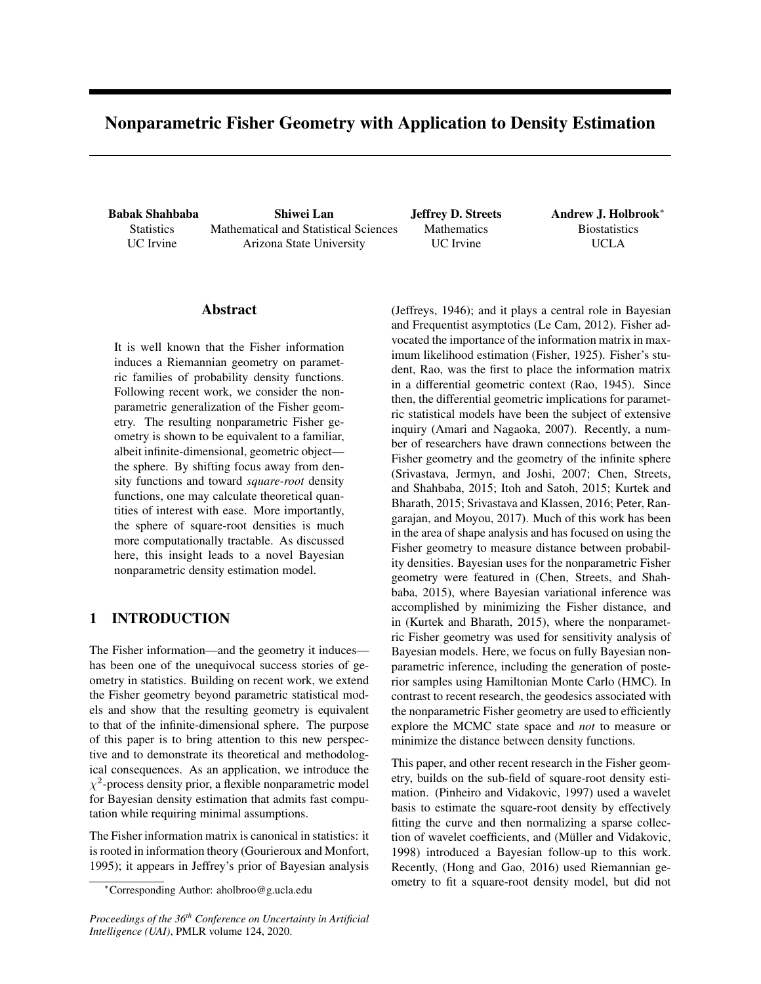# Nonparametric Fisher Geometry with Application to Density Estimation

Babak Shahbaba **Statistics** UC Irvine

Shiwei Lan Mathematical and Statistical Sciences Arizona State University

Jeffrey D. Streets **Mathematics** UC Irvine

Andrew J. Holbrook<sup>∗</sup> **Biostatistics** UCLA

### Abstract

It is well known that the Fisher information induces a Riemannian geometry on parametric families of probability density functions. Following recent work, we consider the nonparametric generalization of the Fisher geometry. The resulting nonparametric Fisher geometry is shown to be equivalent to a familiar, albeit infinite-dimensional, geometric object the sphere. By shifting focus away from density functions and toward *square-root* density functions, one may calculate theoretical quantities of interest with ease. More importantly, the sphere of square-root densities is much more computationally tractable. As discussed here, this insight leads to a novel Bayesian nonparametric density estimation model.

# 1 INTRODUCTION

The Fisher information—and the geometry it induces has been one of the unequivocal success stories of geometry in statistics. Building on recent work, we extend the Fisher geometry beyond parametric statistical models and show that the resulting geometry is equivalent to that of the infinite-dimensional sphere. The purpose of this paper is to bring attention to this new perspective and to demonstrate its theoretical and methodological consequences. As an application, we introduce the  $\chi^2$ -process density prior, a flexible nonparametric model for Bayesian density estimation that admits fast computation while requiring minimal assumptions.

The Fisher information matrix is canonical in statistics: it is rooted in information theory (Gourieroux and Monfort, 1995); it appears in Jeffrey's prior of Bayesian analysis

*Proceedings of the 36th Conference on Uncertainty in Artificial Intelligence (UAI)*, PMLR volume 124, 2020.

(Jeffreys, 1946); and it plays a central role in Bayesian and Frequentist asymptotics (Le Cam, 2012). Fisher advocated the importance of the information matrix in maximum likelihood estimation (Fisher, 1925). Fisher's student, Rao, was the first to place the information matrix in a differential geometric context (Rao, 1945). Since then, the differential geometric implications for parametric statistical models have been the subject of extensive inquiry (Amari and Nagaoka, 2007). Recently, a number of researchers have drawn connections between the Fisher geometry and the geometry of the infinite sphere (Srivastava, Jermyn, and Joshi, 2007; Chen, Streets, and Shahbaba, 2015; Itoh and Satoh, 2015; Kurtek and Bharath, 2015; Srivastava and Klassen, 2016; Peter, Rangarajan, and Moyou, 2017). Much of this work has been in the area of shape analysis and has focused on using the Fisher geometry to measure distance between probability densities. Bayesian uses for the nonparametric Fisher geometry were featured in (Chen, Streets, and Shahbaba, 2015), where Bayesian variational inference was accomplished by minimizing the Fisher distance, and in (Kurtek and Bharath, 2015), where the nonparametric Fisher geometry was used for sensitivity analysis of Bayesian models. Here, we focus on fully Bayesian nonparametric inference, including the generation of posterior samples using Hamiltonian Monte Carlo (HMC). In contrast to recent research, the geodesics associated with the nonparametric Fisher geometry are used to efficiently explore the MCMC state space and *not* to measure or minimize the distance between density functions.

This paper, and other recent research in the Fisher geometry, builds on the sub-field of square-root density estimation. (Pinheiro and Vidakovic, 1997) used a wavelet basis to estimate the square-root density by effectively fitting the curve and then normalizing a sparse collection of wavelet coefficients, and (Müller and Vidakovic, 1998) introduced a Bayesian follow-up to this work. Recently, (Hong and Gao, 2016) used Riemannian geometry to fit a square-root density model, but did not

<sup>∗</sup>Corresponding Author: aholbroo@g.ucla.edu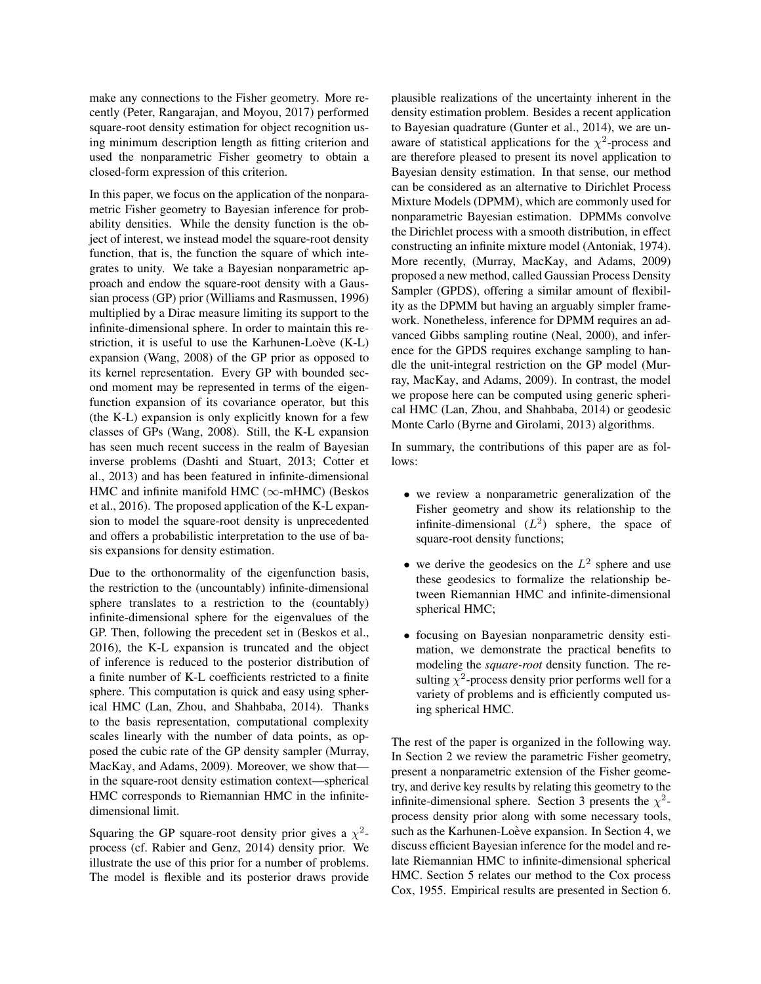make any connections to the Fisher geometry. More recently (Peter, Rangarajan, and Moyou, 2017) performed square-root density estimation for object recognition using minimum description length as fitting criterion and used the nonparametric Fisher geometry to obtain a closed-form expression of this criterion.

In this paper, we focus on the application of the nonparametric Fisher geometry to Bayesian inference for probability densities. While the density function is the object of interest, we instead model the square-root density function, that is, the function the square of which integrates to unity. We take a Bayesian nonparametric approach and endow the square-root density with a Gaussian process (GP) prior (Williams and Rasmussen, 1996) multiplied by a Dirac measure limiting its support to the infinite-dimensional sphere. In order to maintain this restriction, it is useful to use the Karhunen-Loève  $(K-L)$ expansion (Wang, 2008) of the GP prior as opposed to its kernel representation. Every GP with bounded second moment may be represented in terms of the eigenfunction expansion of its covariance operator, but this (the K-L) expansion is only explicitly known for a few classes of GPs (Wang, 2008). Still, the K-L expansion has seen much recent success in the realm of Bayesian inverse problems (Dashti and Stuart, 2013; Cotter et al., 2013) and has been featured in infinite-dimensional HMC and infinite manifold HMC ( $\infty$ -mHMC) (Beskos et al., 2016). The proposed application of the K-L expansion to model the square-root density is unprecedented and offers a probabilistic interpretation to the use of basis expansions for density estimation.

Due to the orthonormality of the eigenfunction basis, the restriction to the (uncountably) infinite-dimensional sphere translates to a restriction to the (countably) infinite-dimensional sphere for the eigenvalues of the GP. Then, following the precedent set in (Beskos et al., 2016), the K-L expansion is truncated and the object of inference is reduced to the posterior distribution of a finite number of K-L coefficients restricted to a finite sphere. This computation is quick and easy using spherical HMC (Lan, Zhou, and Shahbaba, 2014). Thanks to the basis representation, computational complexity scales linearly with the number of data points, as opposed the cubic rate of the GP density sampler (Murray, MacKay, and Adams, 2009). Moreover, we show that in the square-root density estimation context—spherical HMC corresponds to Riemannian HMC in the infinitedimensional limit.

Squaring the GP square-root density prior gives a  $\chi^2$ process (cf. Rabier and Genz, 2014) density prior. We illustrate the use of this prior for a number of problems. The model is flexible and its posterior draws provide plausible realizations of the uncertainty inherent in the density estimation problem. Besides a recent application to Bayesian quadrature (Gunter et al., 2014), we are unaware of statistical applications for the  $\chi^2$ -process and are therefore pleased to present its novel application to Bayesian density estimation. In that sense, our method can be considered as an alternative to Dirichlet Process Mixture Models (DPMM), which are commonly used for nonparametric Bayesian estimation. DPMMs convolve the Dirichlet process with a smooth distribution, in effect constructing an infinite mixture model (Antoniak, 1974). More recently, (Murray, MacKay, and Adams, 2009) proposed a new method, called Gaussian Process Density Sampler (GPDS), offering a similar amount of flexibility as the DPMM but having an arguably simpler framework. Nonetheless, inference for DPMM requires an advanced Gibbs sampling routine (Neal, 2000), and inference for the GPDS requires exchange sampling to handle the unit-integral restriction on the GP model (Murray, MacKay, and Adams, 2009). In contrast, the model we propose here can be computed using generic spherical HMC (Lan, Zhou, and Shahbaba, 2014) or geodesic Monte Carlo (Byrne and Girolami, 2013) algorithms.

In summary, the contributions of this paper are as follows:

- we review a nonparametric generalization of the Fisher geometry and show its relationship to the infinite-dimensional  $(L^2)$  sphere, the space of square-root density functions;
- we derive the geodesics on the  $L^2$  sphere and use these geodesics to formalize the relationship between Riemannian HMC and infinite-dimensional spherical HMC;
- focusing on Bayesian nonparametric density estimation, we demonstrate the practical benefits to modeling the *square-root* density function. The resulting  $\chi^2$ -process density prior performs well for a variety of problems and is efficiently computed using spherical HMC.

The rest of the paper is organized in the following way. In Section 2 we review the parametric Fisher geometry, present a nonparametric extension of the Fisher geometry, and derive key results by relating this geometry to the infinite-dimensional sphere. Section 3 presents the  $\chi^2$ process density prior along with some necessary tools, such as the Karhunen-Loève expansion. In Section 4, we discuss efficient Bayesian inference for the model and relate Riemannian HMC to infinite-dimensional spherical HMC. Section 5 relates our method to the Cox process Cox, 1955. Empirical results are presented in Section 6.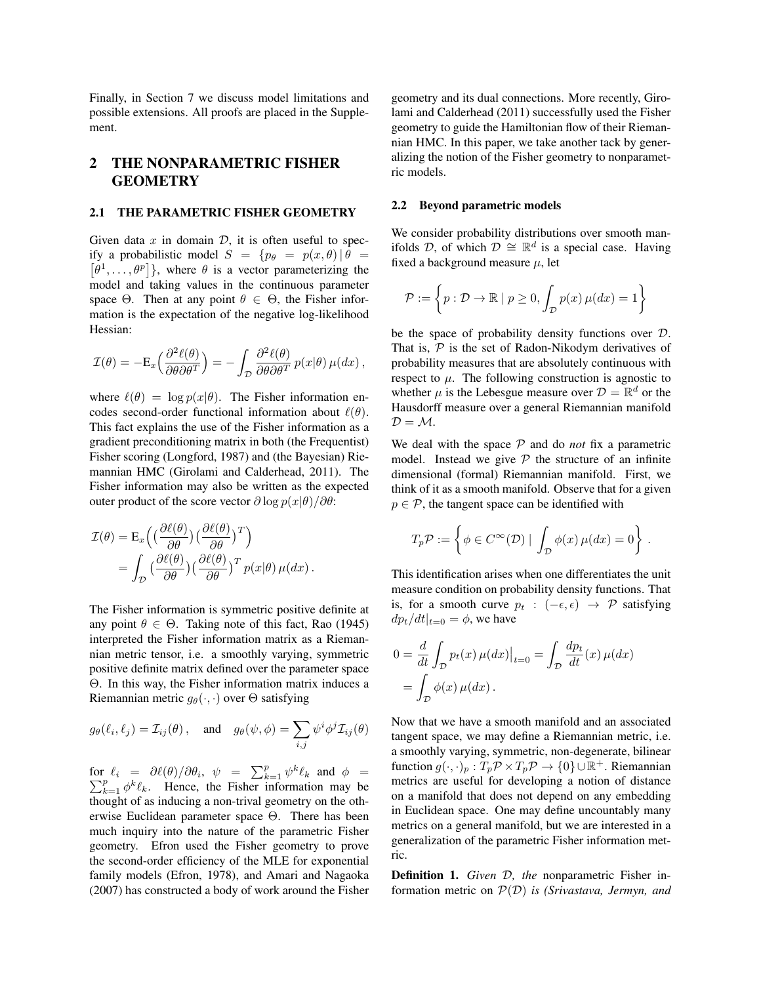Finally, in Section 7 we discuss model limitations and possible extensions. All proofs are placed in the Supplement.

# 2 THE NONPARAMETRIC FISHER **GEOMETRY**

#### 2.1 THE PARAMETRIC FISHER GEOMETRY

Given data  $x$  in domain  $D$ , it is often useful to specify a probabilistic model  $S = \{p_\theta = p(x, \theta) | \theta =$  $[\theta^1, \ldots, \theta^p]$ , where  $\theta$  is a vector parameterizing the model and taking values in the continuous parameter space  $\Theta$ . Then at any point  $\theta \in \Theta$ , the Fisher information is the expectation of the negative log-likelihood Hessian:

$$
\mathcal{I}(\theta) = -E_x \Big( \frac{\partial^2 \ell(\theta)}{\partial \theta \partial \theta^T} \Big) = - \int_{\mathcal{D}} \frac{\partial^2 \ell(\theta)}{\partial \theta \partial \theta^T} p(x|\theta) \mu(dx) ,
$$

where  $\ell(\theta) = \log p(x|\theta)$ . The Fisher information encodes second-order functional information about  $\ell(\theta)$ . This fact explains the use of the Fisher information as a gradient preconditioning matrix in both (the Frequentist) Fisher scoring (Longford, 1987) and (the Bayesian) Riemannian HMC (Girolami and Calderhead, 2011). The Fisher information may also be written as the expected outer product of the score vector  $\partial \log p(x|\theta)/\partial \theta$ :

$$
\mathcal{I}(\theta) = \mathcal{E}_x \Big( \Big( \frac{\partial \ell(\theta)}{\partial \theta} \Big) \Big( \frac{\partial \ell(\theta)}{\partial \theta} \Big)^T \Big) \n= \int_{\mathcal{D}} \Big( \frac{\partial \ell(\theta)}{\partial \theta} \Big) \Big( \frac{\partial \ell(\theta)}{\partial \theta} \Big)^T p(x|\theta) \mu(dx).
$$

The Fisher information is symmetric positive definite at any point  $\theta \in \Theta$ . Taking note of this fact, Rao (1945) interpreted the Fisher information matrix as a Riemannian metric tensor, i.e. a smoothly varying, symmetric positive definite matrix defined over the parameter space Θ. In this way, the Fisher information matrix induces a Riemannian metric  $g_{\theta}(\cdot, \cdot)$  over  $\Theta$  satisfying

$$
g_{\theta}(\ell_i, \ell_j) = \mathcal{I}_{ij}(\theta)
$$
, and  $g_{\theta}(\psi, \phi) = \sum_{i,j} \psi^i \phi^j \mathcal{I}_{ij}(\theta)$ 

for  $\ell_i = \partial \ell(\theta) / \partial \theta_i, \psi = \sum_{k=1}^p \psi^k$ P  $\int_{k=1}^{p} \phi^{k} \ell_{k} = \frac{\partial \ell(\theta)}{\partial \theta_{i}}, \quad \psi = \sum_{k=1}^{p} \psi^{k} \ell_{k} \text{ and } \phi = \frac{p}{k+1} \phi^{k} \ell_{k}.$  Hence, the Fisher information may be thought of as inducing a non-trival geometry on the otherwise Euclidean parameter space Θ. There has been much inquiry into the nature of the parametric Fisher geometry. Efron used the Fisher geometry to prove the second-order efficiency of the MLE for exponential family models (Efron, 1978), and Amari and Nagaoka (2007) has constructed a body of work around the Fisher geometry and its dual connections. More recently, Girolami and Calderhead (2011) successfully used the Fisher geometry to guide the Hamiltonian flow of their Riemannian HMC. In this paper, we take another tack by generalizing the notion of the Fisher geometry to nonparametric models.

#### 2.2 Beyond parametric models

We consider probability distributions over smooth manifolds D, of which  $\mathcal{D} \cong \mathbb{R}^d$  is a special case. Having fixed a background measure  $\mu$ , let

$$
\mathcal{P} := \left\{ p : \mathcal{D} \to \mathbb{R} \mid p \ge 0, \int_{\mathcal{D}} p(x) \,\mu(dx) = 1 \right\}
$$

be the space of probability density functions over D. That is,  $P$  is the set of Radon-Nikodym derivatives of probability measures that are absolutely continuous with respect to  $\mu$ . The following construction is agnostic to whether  $\mu$  is the Lebesgue measure over  $\mathcal{D} = \mathbb{R}^d$  or the Hausdorff measure over a general Riemannian manifold  $D = M$ .

We deal with the space  $P$  and do *not* fix a parametric model. Instead we give  $P$  the structure of an infinite dimensional (formal) Riemannian manifold. First, we think of it as a smooth manifold. Observe that for a given  $p \in \mathcal{P}$ , the tangent space can be identified with

$$
T_p \mathcal{P} := \left\{ \phi \in C^{\infty}(\mathcal{D}) \mid \int_{\mathcal{D}} \phi(x) \,\mu(dx) = 0 \right\} \,.
$$

This identification arises when one differentiates the unit measure condition on probability density functions. That is, for a smooth curve  $p_t : (-\epsilon, \epsilon) \rightarrow \mathcal{P}$  satisfying  $dp_t/dt|_{t=0} = \phi$ , we have

$$
0 = \frac{d}{dt} \int_{\mathcal{D}} p_t(x) \,\mu(dx) \big|_{t=0} = \int_{\mathcal{D}} \frac{dp_t}{dt}(x) \,\mu(dx)
$$

$$
= \int_{\mathcal{D}} \phi(x) \,\mu(dx) \,.
$$

Now that we have a smooth manifold and an associated tangent space, we may define a Riemannian metric, i.e. a smoothly varying, symmetric, non-degenerate, bilinear function  $g(\cdot, \cdot)_p : T_p \mathcal{P} \times T_p \mathcal{P} \to \{0\} \cup \mathbb{R}^+$ . Riemannian metrics are useful for developing a notion of distance on a manifold that does not depend on any embedding in Euclidean space. One may define uncountably many metrics on a general manifold, but we are interested in a generalization of the parametric Fisher information metric.

Definition 1. *Given* D*, the* nonparametric Fisher information metric on P(D) *is (Srivastava, Jermyn, and*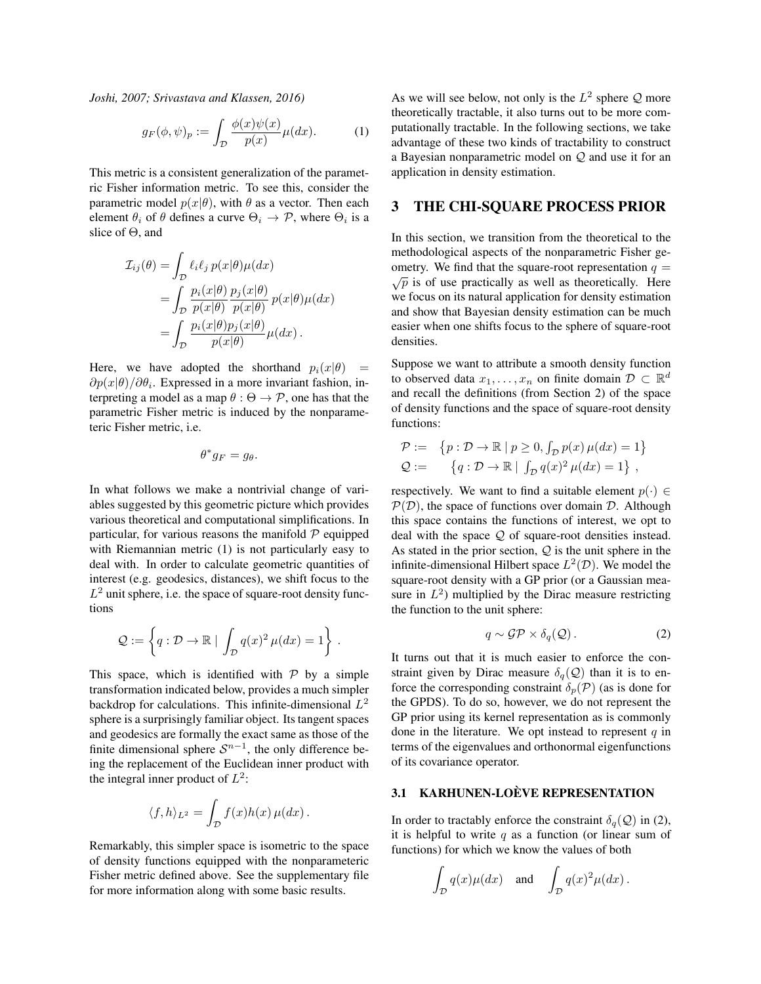*Joshi, 2007; Srivastava and Klassen, 2016)*

$$
g_F(\phi, \psi)_p := \int_{\mathcal{D}} \frac{\phi(x)\psi(x)}{p(x)} \mu(dx). \tag{1}
$$

This metric is a consistent generalization of the parametric Fisher information metric. To see this, consider the parametric model  $p(x|\theta)$ , with  $\theta$  as a vector. Then each element  $\theta_i$  of  $\theta$  defines a curve  $\Theta_i \rightarrow \mathcal{P}$ , where  $\Theta_i$  is a slice of  $\Theta$ , and

$$
\mathcal{I}_{ij}(\theta) = \int_{\mathcal{D}} \ell_i \ell_j \, p(x|\theta) \mu(dx) \n= \int_{\mathcal{D}} \frac{p_i(x|\theta)}{p(x|\theta)} \frac{p_j(x|\theta)}{p(x|\theta)} p(x|\theta) \mu(dx) \n= \int_{\mathcal{D}} \frac{p_i(x|\theta) p_j(x|\theta)}{p(x|\theta)} \mu(dx).
$$

Here, we have adopted the shorthand  $p_i(x|\theta)$  =  $\partial p(x|\theta)/\partial \theta_i$ . Expressed in a more invariant fashion, interpreting a model as a map  $\theta : \Theta \to \mathcal{P}$ , one has that the parametric Fisher metric is induced by the nonparameteric Fisher metric, i.e.

$$
\theta^*g_F=g_\theta.
$$

In what follows we make a nontrivial change of variables suggested by this geometric picture which provides various theoretical and computational simplifications. In particular, for various reasons the manifold  $P$  equipped with Riemannian metric (1) is not particularly easy to deal with. In order to calculate geometric quantities of interest (e.g. geodesics, distances), we shift focus to the  $L^2$  unit sphere, i.e. the space of square-root density functions

$$
\mathcal{Q} := \left\{ q : \mathcal{D} \to \mathbb{R} \mid \int_{\mathcal{D}} q(x)^2 \,\mu(dx) = 1 \right\} \,.
$$

This space, which is identified with  $P$  by a simple transformation indicated below, provides a much simpler backdrop for calculations. This infinite-dimensional  $L^2$ sphere is a surprisingly familiar object. Its tangent spaces and geodesics are formally the exact same as those of the finite dimensional sphere  $S^{n-1}$ , the only difference being the replacement of the Euclidean inner product with the integral inner product of  $L^2$ :

$$
\langle f, h \rangle_{L^2} = \int_{\mathcal{D}} f(x)h(x)\,\mu(dx) \,.
$$

Remarkably, this simpler space is isometric to the space of density functions equipped with the nonparameteric Fisher metric defined above. See the supplementary file for more information along with some basic results.

As we will see below, not only is the  $L^2$  sphere Q more theoretically tractable, it also turns out to be more computationally tractable. In the following sections, we take advantage of these two kinds of tractability to construct a Bayesian nonparametric model on Q and use it for an application in density estimation.

### 3 THE CHI-SQUARE PROCESS PRIOR

In this section, we transition from the theoretical to the methodological aspects of the nonparametric Fisher geometry. We find that the square-root representation  $q = \sqrt{p}$  is of use practically as well as theoretically. Here we focus on its natural application for density estimation and show that Bayesian density estimation can be much easier when one shifts focus to the sphere of square-root densities.

Suppose we want to attribute a smooth density function to observed data  $x_1, \ldots, x_n$  on finite domain  $\mathcal{D} \subset \mathbb{R}^d$ and recall the definitions (from Section 2) of the space of density functions and the space of square-root density functions:

$$
\mathcal{P} := \{ p : \mathcal{D} \to \mathbb{R} \mid p \ge 0, \int_{\mathcal{D}} p(x) \,\mu(dx) = 1 \}
$$
  

$$
\mathcal{Q} := \{ q : \mathcal{D} \to \mathbb{R} \mid \int_{\mathcal{D}} q(x)^2 \,\mu(dx) = 1 \},
$$

respectively. We want to find a suitable element  $p(\cdot) \in$  $P(D)$ , the space of functions over domain D. Although this space contains the functions of interest, we opt to deal with the space Q of square-root densities instead. As stated in the prior section,  $Q$  is the unit sphere in the infinite-dimensional Hilbert space  $L^2(\mathcal{D})$ . We model the square-root density with a GP prior (or a Gaussian measure in  $L^2$ ) multiplied by the Dirac measure restricting the function to the unit sphere:

$$
q \sim \mathcal{GP} \times \delta_q(\mathcal{Q}). \tag{2}
$$

It turns out that it is much easier to enforce the constraint given by Dirac measure  $\delta_q(Q)$  than it is to enforce the corresponding constraint  $\delta_p(\mathcal{P})$  (as is done for the GPDS). To do so, however, we do not represent the GP prior using its kernel representation as is commonly done in the literature. We opt instead to represent  $q$  in terms of the eigenvalues and orthonormal eigenfunctions of its covariance operator.

### 3.1 KARHUNEN-LOÈVE REPRESENTATION

In order to tractably enforce the constraint  $\delta_q(Q)$  in (2), it is helpful to write  $q$  as a function (or linear sum of functions) for which we know the values of both

$$
\int_{\mathcal{D}} q(x) \mu(dx)
$$
 and  $\int_{\mathcal{D}} q(x)^2 \mu(dx)$ .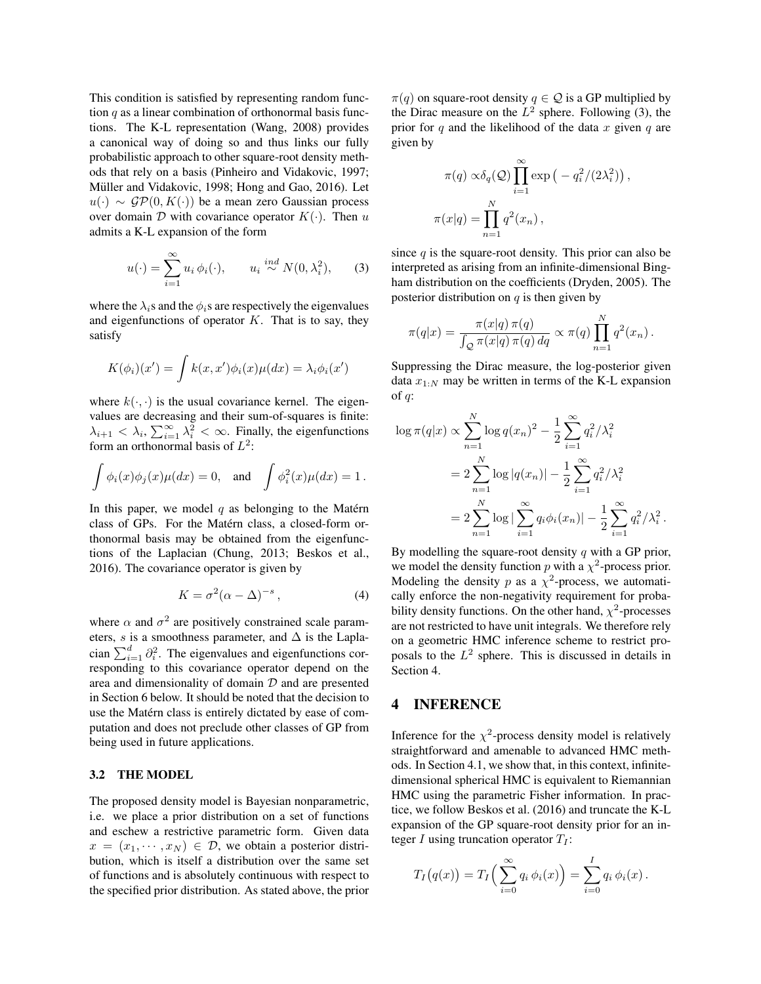This condition is satisfied by representing random function  $q$  as a linear combination of orthonormal basis functions. The K-L representation (Wang, 2008) provides a canonical way of doing so and thus links our fully probabilistic approach to other square-root density methods that rely on a basis (Pinheiro and Vidakovic, 1997; Müller and Vidakovic, 1998; Hong and Gao, 2016). Let  $u(\cdot) \sim \mathcal{GP}(0, K(\cdot))$  be a mean zero Gaussian process over domain  $D$  with covariance operator  $K(\cdot)$ . Then u admits a K-L expansion of the form

$$
u(\cdot) = \sum_{i=1}^{\infty} u_i \, \phi_i(\cdot), \qquad u_i \stackrel{ind}{\sim} N(0, \lambda_i^2), \qquad (3)
$$

where the  $\lambda_i$ s and the  $\phi_i$ s are respectively the eigenvalues and eigenfunctions of operator  $K$ . That is to say, they satisfy

$$
K(\phi_i)(x') = \int k(x, x')\phi_i(x)\mu(dx) = \lambda_i\phi_i(x')
$$

where  $k(\cdot, \cdot)$  is the usual covariance kernel. The eigenvalues are decreasing and their sum-of-squares is finite:  $\lambda_{i+1} < \lambda_i$ ,  $\sum_{i=1}^{\infty} \lambda_i^2 < \infty$ . Finally, the eigenfunctions form an orthonormal basis of  $L^2$ :

$$
\int \phi_i(x)\phi_j(x)\mu(dx) = 0, \text{ and } \int \phi_i^2(x)\mu(dx) = 1.
$$

In this paper, we model  $q$  as belonging to the Matérn class of GPs. For the Matérn class, a closed-form orthonormal basis may be obtained from the eigenfunctions of the Laplacian (Chung, 2013; Beskos et al., 2016). The covariance operator is given by

$$
K = \sigma^2 (\alpha - \Delta)^{-s}, \qquad (4)
$$

where  $\alpha$  and  $\sigma^2$  are positively constrained scale parameters, s is a smoothness parameter, and  $\Delta$  is the Laplacian  $\sum_{i=1}^{d} \partial_i^2$ . The eigenvalues and eigenfunctions corresponding to this covariance operator depend on the area and dimensionality of domain  $D$  and are presented in Section 6 below. It should be noted that the decision to use the Matérn class is entirely dictated by ease of computation and does not preclude other classes of GP from being used in future applications.

#### 3.2 THE MODEL

The proposed density model is Bayesian nonparametric, i.e. we place a prior distribution on a set of functions and eschew a restrictive parametric form. Given data  $x = (x_1, \dots, x_N) \in \mathcal{D}$ , we obtain a posterior distribution, which is itself a distribution over the same set of functions and is absolutely continuous with respect to the specified prior distribution. As stated above, the prior  $\pi(q)$  on square-root density  $q \in \mathcal{Q}$  is a GP multiplied by the Dirac measure on the  $L^2$  sphere. Following (3), the prior for q and the likelihood of the data x given q are given by

$$
\pi(q) \propto \delta_q(Q) \prod_{i=1}^{\infty} \exp(-q_i^2/(2\lambda_i^2)),
$$
  

$$
\pi(x|q) = \prod_{n=1}^N q^2(x_n),
$$

since  $q$  is the square-root density. This prior can also be interpreted as arising from an infinite-dimensional Bingham distribution on the coefficients (Dryden, 2005). The posterior distribution on  $q$  is then given by

$$
\pi(q|x) = \frac{\pi(x|q)\,\pi(q)}{\int_{\mathcal{Q}} \pi(x|q)\,\pi(q)\,dq} \propto \pi(q) \prod_{n=1}^N q^2(x_n) .
$$

Suppressing the Dirac measure, the log-posterior given data  $x_{1:N}$  may be written in terms of the K-L expansion of  $q$ :

$$
\log \pi(q|x) \propto \sum_{n=1}^{N} \log q(x_n)^2 - \frac{1}{2} \sum_{i=1}^{\infty} q_i^2 / \lambda_i^2
$$
  
= 
$$
2 \sum_{n=1}^{N} \log |q(x_n)| - \frac{1}{2} \sum_{i=1}^{\infty} q_i^2 / \lambda_i^2
$$
  
= 
$$
2 \sum_{n=1}^{N} \log |\sum_{i=1}^{\infty} q_i \phi_i(x_n)| - \frac{1}{2} \sum_{i=1}^{\infty} q_i^2 / \lambda_i^2.
$$

By modelling the square-root density  $q$  with a GP prior, we model the density function p with a  $\chi^2$ -process prior. Modeling the density p as a  $\chi^2$ -process, we automatically enforce the non-negativity requirement for probability density functions. On the other hand,  $\chi^2$ -processes are not restricted to have unit integrals. We therefore rely on a geometric HMC inference scheme to restrict proposals to the  $L^2$  sphere. This is discussed in details in Section 4.

# 4 INFERENCE

Inference for the  $\chi^2$ -process density model is relatively straightforward and amenable to advanced HMC methods. In Section 4.1, we show that, in this context, infinitedimensional spherical HMC is equivalent to Riemannian HMC using the parametric Fisher information. In practice, we follow Beskos et al. (2016) and truncate the K-L expansion of the GP square-root density prior for an integer I using truncation operator  $T_I$ :

$$
T_I(q(x)) = T_I \Big( \sum_{i=0}^{\infty} q_i \, \phi_i(x) \Big) = \sum_{i=0}^{I} q_i \, \phi_i(x) \, .
$$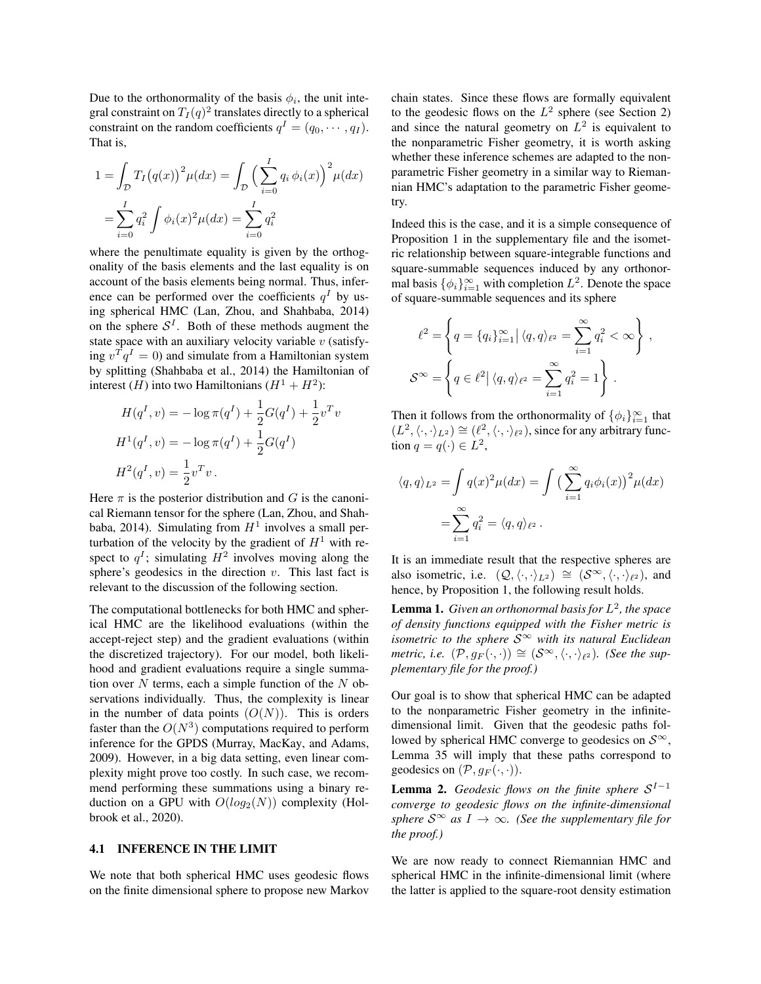Due to the orthonormality of the basis  $\phi_i$ , the unit integral constraint on  $T_I(q)^2$  translates directly to a spherical constraint on the random coefficients  $q^I = (q_0, \dots, q_I)$ . That is,

$$
1 = \int_{D} T_I (q(x))^{2} \mu(dx) = \int_{D} \left( \sum_{i=0}^{I} q_i \phi_i(x) \right)^{2} \mu(dx)
$$
  
= 
$$
\sum_{i=0}^{I} q_i^{2} \int \phi_i(x)^{2} \mu(dx) = \sum_{i=0}^{I} q_i^{2}
$$

where the penultimate equality is given by the orthogonality of the basis elements and the last equality is on account of the basis elements being normal. Thus, inference can be performed over the coefficients  $q<sup>I</sup>$  by using spherical HMC (Lan, Zhou, and Shahbaba, 2014) on the sphere  $S<sup>I</sup>$ . Both of these methods augment the state space with an auxiliary velocity variable  $v$  (satisfying  $v^T q^I = 0$ ) and simulate from a Hamiltonian system by splitting (Shahbaba et al., 2014) the Hamiltonian of interest (*H*) into two Hamiltonians  $(H^1 + H^2)$ :

$$
H(qI, v) = -\log \pi(qI) + \frac{1}{2}G(qI) + \frac{1}{2}vTv
$$
  
\n
$$
H1(qI, v) = -\log \pi(qI) + \frac{1}{2}G(qI)
$$
  
\n
$$
H2(qI, v) = \frac{1}{2}vTv.
$$

Here  $\pi$  is the posterior distribution and G is the canonical Riemann tensor for the sphere (Lan, Zhou, and Shahbaba, 2014). Simulating from  $H^1$  involves a small perturbation of the velocity by the gradient of  $H<sup>1</sup>$  with respect to  $q<sup>I</sup>$ ; simulating  $H<sup>2</sup>$  involves moving along the sphere's geodesics in the direction  $v$ . This last fact is relevant to the discussion of the following section.

The computational bottlenecks for both HMC and spherical HMC are the likelihood evaluations (within the accept-reject step) and the gradient evaluations (within the discretized trajectory). For our model, both likelihood and gradient evaluations require a single summation over  $N$  terms, each a simple function of the  $N$  observations individually. Thus, the complexity is linear in the number of data points  $(O(N))$ . This is orders faster than the  $O(N^3)$  computations required to perform inference for the GPDS (Murray, MacKay, and Adams, 2009). However, in a big data setting, even linear complexity might prove too costly. In such case, we recommend performing these summations using a binary reduction on a GPU with  $O(log_2(N))$  complexity (Holbrook et al., 2020).

#### 4.1 INFERENCE IN THE LIMIT

We note that both spherical HMC uses geodesic flows on the finite dimensional sphere to propose new Markov chain states. Since these flows are formally equivalent to the geodesic flows on the  $L^2$  sphere (see Section 2) and since the natural geometry on  $L^2$  is equivalent to the nonparametric Fisher geometry, it is worth asking whether these inference schemes are adapted to the nonparametric Fisher geometry in a similar way to Riemannian HMC's adaptation to the parametric Fisher geometry.

Indeed this is the case, and it is a simple consequence of Proposition 1 in the supplementary file and the isometric relationship between square-integrable functions and square-summable sequences induced by any orthonormal basis  $\{\phi_i\}_{i=1}^{\infty}$  with completion  $L^2$ . Denote the space of square-summable sequences and its sphere

$$
\ell^2 = \left\{ q = \{q_i\}_{i=1}^{\infty} \middle| \langle q, q \rangle_{\ell^2} = \sum_{i=1}^{\infty} q_i^2 < \infty \right\},
$$
\n
$$
\mathcal{S}^{\infty} = \left\{ q \in \ell^2 \middle| \langle q, q \rangle_{\ell^2} = \sum_{i=1}^{\infty} q_i^2 = 1 \right\}.
$$

Then it follows from the orthonormality of  $\{\phi_i\}_{i=1}^{\infty}$  that  $(L^2, \langle \cdot, \cdot \rangle_{L^2}) \cong (\ell^2, \langle \cdot, \cdot \rangle_{\ell^2})$ , since for any arbitrary function  $q = q(\cdot) \in L^2$ ,

$$
\langle q, q \rangle_{L^2} = \int q(x)^2 \mu(dx) = \int \left(\sum_{i=1}^{\infty} q_i \phi_i(x)\right)^2 \mu(dx)
$$

$$
= \sum_{i=1}^{\infty} q_i^2 = \langle q, q \rangle_{\ell^2}.
$$

It is an immediate result that the respective spheres are also isometric, i.e.  $(Q, \langle \cdot, \cdot \rangle_{L^2}) \cong (S^{\infty}, \langle \cdot, \cdot \rangle_{\ell^2})$ , and hence, by Proposition 1, the following result holds.

Lemma 1. *Given an orthonormal basis for* L 2 *, the space of density functions equipped with the Fisher metric is isometric to the sphere* S<sup>∞</sup> *with its natural Euclidean metric, i.e.*  $(\mathcal{P}, g_F(\cdot, \cdot)) \cong (\mathcal{S}^{\infty}, \langle \cdot, \cdot \rangle_{\ell^2})$ . (See the sup*plementary file for the proof.)*

Our goal is to show that spherical HMC can be adapted to the nonparametric Fisher geometry in the infinitedimensional limit. Given that the geodesic paths followed by spherical HMC converge to geodesics on  $S^{\infty}$ , Lemma 35 will imply that these paths correspond to geodesics on  $(\mathcal{P}, g_F(\cdot, \cdot))$ .

**Lemma 2.** *Geodesic flows on the finite sphere*  $S^{I-1}$ *converge to geodesic flows on the infinite-dimensional sphere*  $S^{\infty}$  *as*  $I \to \infty$ *. (See the supplementary file for the proof.)*

We are now ready to connect Riemannian HMC and spherical HMC in the infinite-dimensional limit (where the latter is applied to the square-root density estimation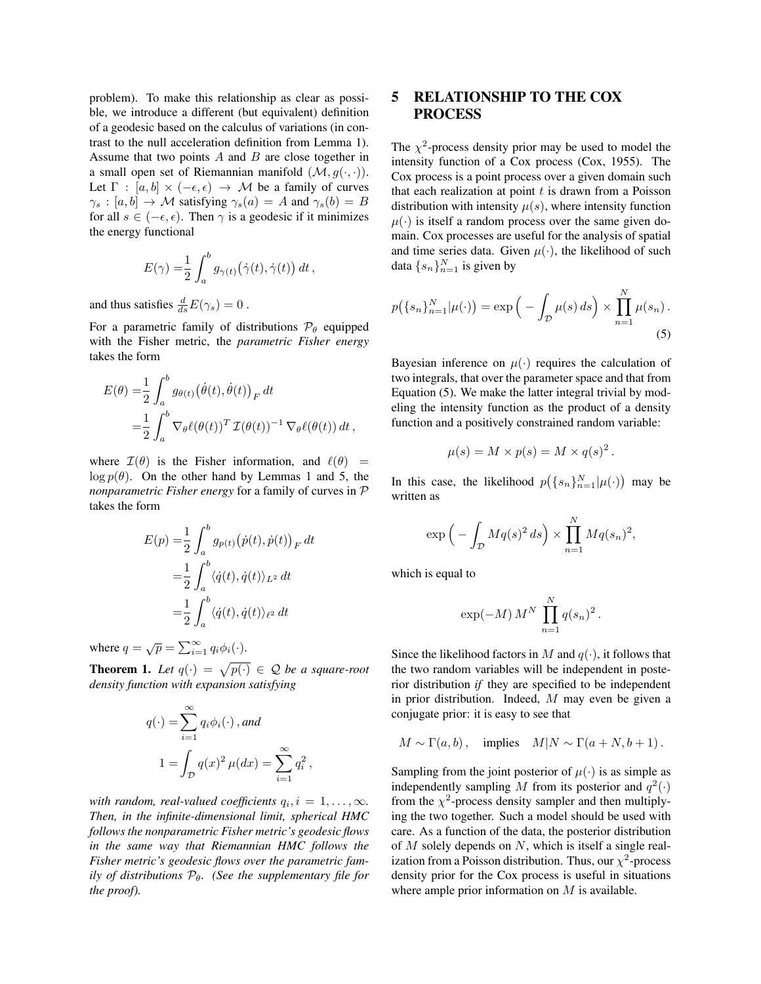problem). To make this relationship as clear as possible, we introduce a different (but equivalent) definition of a geodesic based on the calculus of variations (in contrast to the null acceleration definition from Lemma 1). Assume that two points  $A$  and  $B$  are close together in a small open set of Riemannian manifold  $(\mathcal{M}, q(\cdot, \cdot))$ . Let  $\Gamma : [a, b] \times (-\epsilon, \epsilon) \rightarrow M$  be a family of curves  $\gamma_s : [a, b] \to \mathcal{M}$  satisfying  $\gamma_s(a) = A$  and  $\gamma_s(b) = B$ for all  $s \in (-\epsilon, \epsilon)$ . Then  $\gamma$  is a geodesic if it minimizes the energy functional

$$
E(\gamma) = \frac{1}{2} \int_a^b g_{\gamma(t)}(\dot{\gamma}(t), \dot{\gamma}(t)) dt,
$$

and thus satisfies  $\frac{d}{ds}E(\gamma_s) = 0$ .

For a parametric family of distributions  $\mathcal{P}_{\theta}$  equipped with the Fisher metric, the *parametric Fisher energy* takes the form

$$
E(\theta) = \frac{1}{2} \int_{a}^{b} g_{\theta(t)}(\dot{\theta}(t), \dot{\theta}(t))_{F} dt
$$
  
= 
$$
\frac{1}{2} \int_{a}^{b} \nabla_{\theta} \ell(\theta(t))^{T} \mathcal{I}(\theta(t))^{-1} \nabla_{\theta} \ell(\theta(t)) dt,
$$

where  $\mathcal{I}(\theta)$  is the Fisher information, and  $\ell(\theta)$  =  $\log p(\theta)$ . On the other hand by Lemmas 1 and 5, the *nonparametric Fisher energy* for a family of curves in P takes the form

$$
E(p) = \frac{1}{2} \int_{a}^{b} g_{p(t)}(\dot{p}(t), \dot{p}(t))_{F} dt
$$
  

$$
= \frac{1}{2} \int_{a}^{b} \langle \dot{q}(t), \dot{q}(t) \rangle_{L^{2}} dt
$$
  

$$
= \frac{1}{2} \int_{a}^{b} \langle \dot{q}(t), \dot{q}(t) \rangle_{\ell^{2}} dt
$$

where  $q = \sqrt{p} = \sum_{i=1}^{\infty} q_i \phi_i(\cdot)$ .

**Theorem 1.** Let  $q(\cdot) = \sqrt{p(\cdot)} \in \mathcal{Q}$  be a square-root *density function with expansion satisfying*

$$
q(\cdot) = \sum_{i=1}^{\infty} q_i \phi_i(\cdot), and
$$
  

$$
1 = \int_{\mathcal{D}} q(x)^2 \mu(dx) = \sum_{i=1}^{\infty} q_i^2,
$$

*with random, real-valued coefficients*  $q_i, i = 1, \ldots, \infty$ *. Then, in the infinite-dimensional limit, spherical HMC follows the nonparametric Fisher metric's geodesic flows in the same way that Riemannian HMC follows the Fisher metric's geodesic flows over the parametric family of distributions*  $P_{\theta}$ *. (See the supplementary file for the proof).*

# 5 RELATIONSHIP TO THE COX PROCESS

The  $\chi^2$ -process density prior may be used to model the intensity function of a Cox process (Cox, 1955). The Cox process is a point process over a given domain such that each realization at point  $t$  is drawn from a Poisson distribution with intensity  $\mu(s)$ , where intensity function  $\mu(\cdot)$  is itself a random process over the same given domain. Cox processes are useful for the analysis of spatial and time series data. Given  $\mu(\cdot)$ , the likelihood of such data  $\{s_n\}_{n=1}^N$  is given by

$$
p(\lbrace s_n \rbrace_{n=1}^N | \mu(\cdot) ) = \exp\Big(-\int_{\mathcal{D}} \mu(s) \, ds\Big) \times \prod_{n=1}^N \mu(s_n) \, . \tag{5}
$$

Bayesian inference on  $\mu(\cdot)$  requires the calculation of two integrals, that over the parameter space and that from Equation (5). We make the latter integral trivial by modeling the intensity function as the product of a density function and a positively constrained random variable:

$$
\mu(s) = M \times p(s) = M \times q(s)^2.
$$

In this case, the likelihood  $p(\lbrace s_n \rbrace_{n=1}^N | \mu(\cdot))$  may be written as

$$
\exp\left(-\int_{\mathcal{D}} Mq(s)^2 ds\right) \times \prod_{n=1}^N Mq(s_n)^2,
$$

which is equal to

$$
\exp(-M) M^N \prod_{n=1}^N q(s_n)^2
$$
.

Since the likelihood factors in M and  $q(\cdot)$ , it follows that the two random variables will be independent in posterior distribution *if* they are specified to be independent in prior distribution. Indeed, M may even be given a conjugate prior: it is easy to see that

$$
M \sim \Gamma(a, b)
$$
, implies  $M|N \sim \Gamma(a + N, b + 1)$ .

Sampling from the joint posterior of  $\mu(\cdot)$  is as simple as independently sampling M from its posterior and  $q^2(\cdot)$ from the  $\chi^2$ -process density sampler and then multiplying the two together. Such a model should be used with care. As a function of the data, the posterior distribution of  $M$  solely depends on  $N$ , which is itself a single realization from a Poisson distribution. Thus, our  $\chi^2$ -process density prior for the Cox process is useful in situations where ample prior information on  $M$  is available.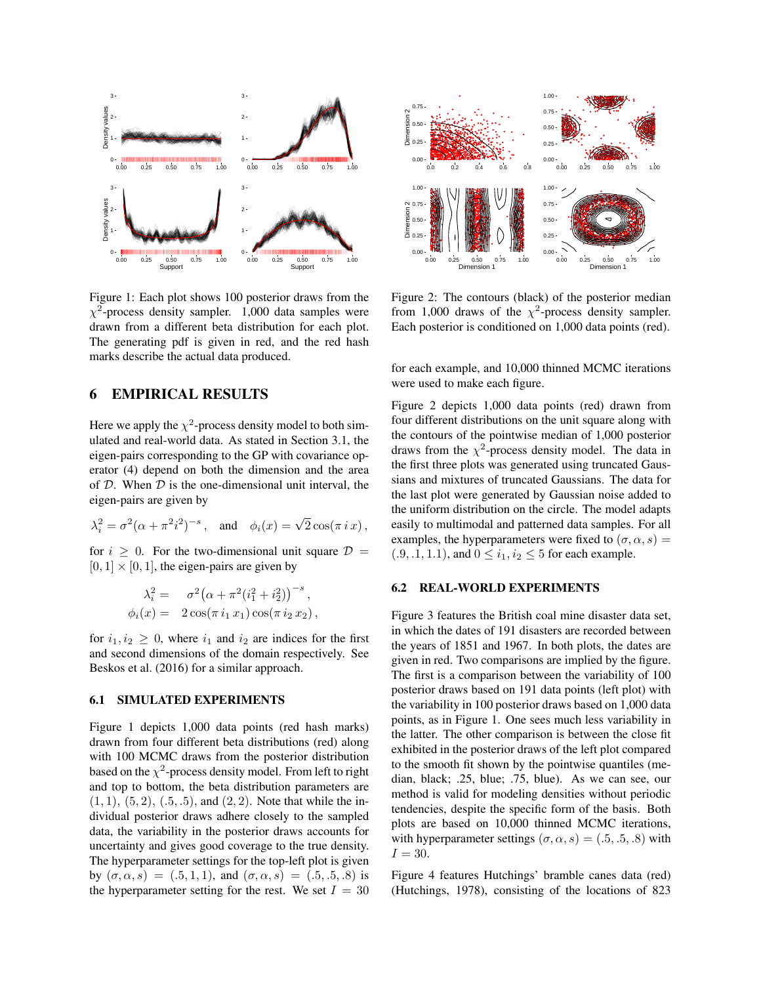

Figure 1: Each plot shows 100 posterior draws from the  $\chi^2$ -process density sampler. 1,000 data samples were drawn from a different beta distribution for each plot. The generating pdf is given in red, and the red hash marks describe the actual data produced.

### 6 EMPIRICAL RESULTS

Here we apply the  $\chi^2$ -process density model to both simulated and real-world data. As stated in Section 3.1, the eigen-pairs corresponding to the GP with covariance operator (4) depend on both the dimension and the area of  $D$ . When  $D$  is the one-dimensional unit interval, the eigen-pairs are given by

$$
\lambda_i^2 = \sigma^2 (\alpha + \pi^2 i^2)^{-s}
$$
, and  $\phi_i(x) = \sqrt{2} \cos(\pi i x)$ ,

for  $i > 0$ . For the two-dimensional unit square  $\mathcal{D} =$  $[0, 1] \times [0, 1]$ , the eigen-pairs are given by

$$
\lambda_i^2 = \sigma^2 (\alpha + \pi^2 (i_1^2 + i_2^2))^{-s},
$$
  
\n
$$
\phi_i(x) = 2 \cos(\pi i_1 x_1) \cos(\pi i_2 x_2),
$$

for  $i_1, i_2 \geq 0$ , where  $i_1$  and  $i_2$  are indices for the first and second dimensions of the domain respectively. See Beskos et al. (2016) for a similar approach.

#### 6.1 SIMULATED EXPERIMENTS

Figure 1 depicts 1,000 data points (red hash marks) drawn from four different beta distributions (red) along with 100 MCMC draws from the posterior distribution based on the  $\chi^2$ -process density model. From left to right and top to bottom, the beta distribution parameters are  $(1, 1), (5, 2), (0.5, 0.5),$  and  $(2, 2)$ . Note that while the individual posterior draws adhere closely to the sampled data, the variability in the posterior draws accounts for uncertainty and gives good coverage to the true density. The hyperparameter settings for the top-left plot is given by  $(\sigma, \alpha, s) = (.5, 1, 1)$ , and  $(\sigma, \alpha, s) = (.5, .5, .8)$  is the hyperparameter setting for the rest. We set  $I = 30$ 



Figure 2: The contours (black) of the posterior median from 1,000 draws of the  $\chi^2$ -process density sampler. Each posterior is conditioned on 1,000 data points (red).

for each example, and 10,000 thinned MCMC iterations were used to make each figure.

Figure 2 depicts 1,000 data points (red) drawn from four different distributions on the unit square along with the contours of the pointwise median of 1,000 posterior draws from the  $\chi^2$ -process density model. The data in the first three plots was generated using truncated Gaussians and mixtures of truncated Gaussians. The data for the last plot were generated by Gaussian noise added to the uniform distribution on the circle. The model adapts easily to multimodal and patterned data samples. For all examples, the hyperparameters were fixed to  $(\sigma, \alpha, s)$  =  $(0.9, 0.1, 1.1)$ , and  $0 \le i_1, i_2 \le 5$  for each example.

### 6.2 REAL-WORLD EXPERIMENTS

Figure 3 features the British coal mine disaster data set, in which the dates of 191 disasters are recorded between the years of 1851 and 1967. In both plots, the dates are given in red. Two comparisons are implied by the figure. The first is a comparison between the variability of 100 posterior draws based on 191 data points (left plot) with the variability in 100 posterior draws based on 1,000 data points, as in Figure 1. One sees much less variability in the latter. The other comparison is between the close fit exhibited in the posterior draws of the left plot compared to the smooth fit shown by the pointwise quantiles (median, black; .25, blue; .75, blue). As we can see, our method is valid for modeling densities without periodic tendencies, despite the specific form of the basis. Both plots are based on 10,000 thinned MCMC iterations, with hyperparameter settings  $(\sigma, \alpha, s) = (.5, .5, .8)$  with  $I = 30$ .

Figure 4 features Hutchings' bramble canes data (red) (Hutchings, 1978), consisting of the locations of 823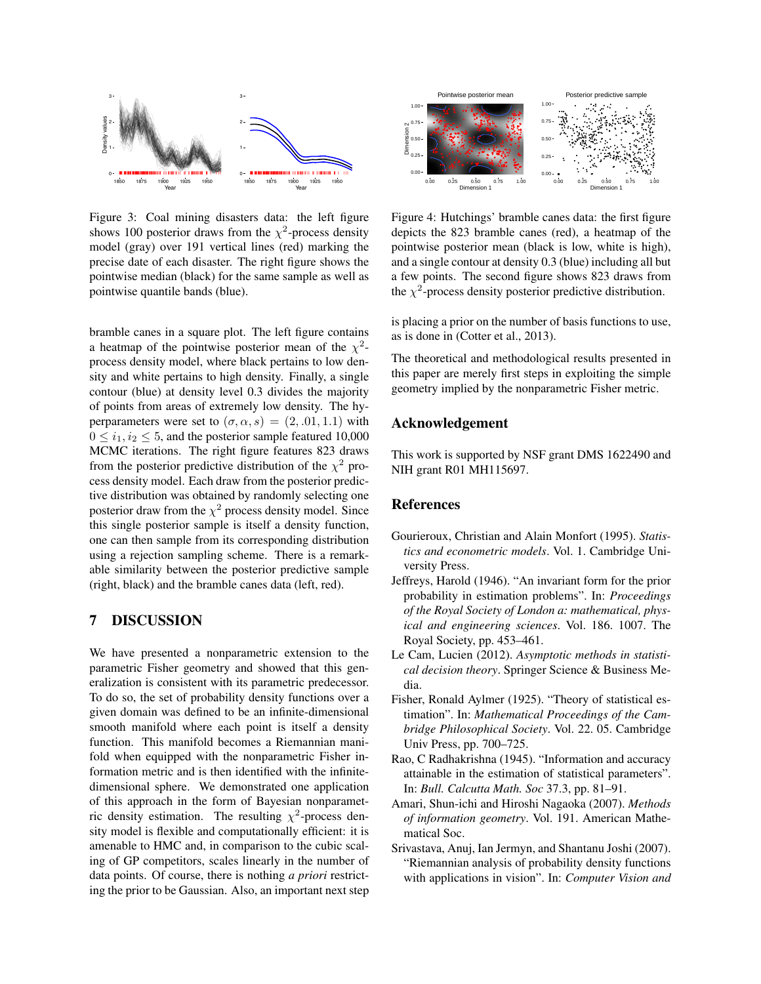

Figure 3: Coal mining disasters data: the left figure shows 100 posterior draws from the  $\chi^2$ -process density model (gray) over 191 vertical lines (red) marking the precise date of each disaster. The right figure shows the pointwise median (black) for the same sample as well as pointwise quantile bands (blue).

bramble canes in a square plot. The left figure contains a heatmap of the pointwise posterior mean of the  $\chi^2$ process density model, where black pertains to low density and white pertains to high density. Finally, a single contour (blue) at density level 0.3 divides the majority of points from areas of extremely low density. The hyperparameters were set to  $(\sigma, \alpha, s) = (2, .01, 1.1)$  with  $0 \leq i_1, i_2 \leq 5$ , and the posterior sample featured 10,000 MCMC iterations. The right figure features 823 draws from the posterior predictive distribution of the  $\chi^2$  process density model. Each draw from the posterior predictive distribution was obtained by randomly selecting one posterior draw from the  $\chi^2$  process density model. Since this single posterior sample is itself a density function, one can then sample from its corresponding distribution using a rejection sampling scheme. There is a remarkable similarity between the posterior predictive sample (right, black) and the bramble canes data (left, red).

# 7 DISCUSSION

We have presented a nonparametric extension to the parametric Fisher geometry and showed that this generalization is consistent with its parametric predecessor. To do so, the set of probability density functions over a given domain was defined to be an infinite-dimensional smooth manifold where each point is itself a density function. This manifold becomes a Riemannian manifold when equipped with the nonparametric Fisher information metric and is then identified with the infinitedimensional sphere. We demonstrated one application of this approach in the form of Bayesian nonparametric density estimation. The resulting  $\chi^2$ -process density model is flexible and computationally efficient: it is amenable to HMC and, in comparison to the cubic scaling of GP competitors, scales linearly in the number of data points. Of course, there is nothing *a priori* restricting the prior to be Gaussian. Also, an important next step



Figure 4: Hutchings' bramble canes data: the first figure depicts the 823 bramble canes (red), a heatmap of the pointwise posterior mean (black is low, white is high), and a single contour at density 0.3 (blue) including all but a few points. The second figure shows 823 draws from the  $\chi^2$ -process density posterior predictive distribution.

is placing a prior on the number of basis functions to use, as is done in (Cotter et al., 2013).

The theoretical and methodological results presented in this paper are merely first steps in exploiting the simple geometry implied by the nonparametric Fisher metric.

### Acknowledgement

This work is supported by NSF grant DMS 1622490 and NIH grant R01 MH115697.

### References

- Gourieroux, Christian and Alain Monfort (1995). *Statistics and econometric models*. Vol. 1. Cambridge University Press.
- Jeffreys, Harold (1946). "An invariant form for the prior probability in estimation problems". In: *Proceedings of the Royal Society of London a: mathematical, physical and engineering sciences*. Vol. 186. 1007. The Royal Society, pp. 453–461.
- Le Cam, Lucien (2012). *Asymptotic methods in statistical decision theory*. Springer Science & Business Media.
- Fisher, Ronald Aylmer (1925). "Theory of statistical estimation". In: *Mathematical Proceedings of the Cambridge Philosophical Society*. Vol. 22. 05. Cambridge Univ Press, pp. 700–725.
- Rao, C Radhakrishna (1945). "Information and accuracy attainable in the estimation of statistical parameters". In: *Bull. Calcutta Math. Soc* 37.3, pp. 81–91.
- Amari, Shun-ichi and Hiroshi Nagaoka (2007). *Methods of information geometry*. Vol. 191. American Mathematical Soc.
- Srivastava, Anuj, Ian Jermyn, and Shantanu Joshi (2007). "Riemannian analysis of probability density functions with applications in vision". In: *Computer Vision and*